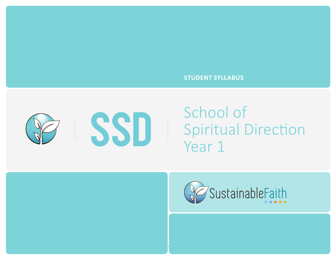### **STUDENT SYLLABUS**



# School of Spiritual Direction Year 1



• INTRO TO SPIRITUAL DIRECTION 1 • INTRO TO SPIRITUAL DIRECTION 2 • SELF-AWARENESS / ENNEAGRAM • DISCERNMENT& GROUP DIRECTION **• STAGES OF FAITH** 1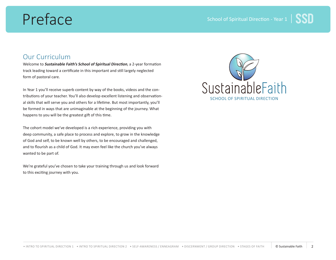# Preface

### Our Curriculum

Welcome to **Sustainable Faith's School of Spiritual Direction**, a 2-year formation track leading toward a certificate in this important and still largely neglected form of pastoral care.

In Year 1 you'll receive superb content by way of the books, videos and the contributions of your teacher. You'll also develop excellent listening and observational skills that will serve you and others for a lifetime. But most importantly, you'll be formed in ways that are unimaginable at the beginning of the journey. What happens to you will be the greatest gift of this time.

The cohort model we've developed is a rich experience, providing you with deep community, a safe place to process and explore, to grow in the knowledge of God and self, to be known well by others, to be encouraged and challenged, and to flourish as a child of God. It may even feel like the church you've always wanted to be part of.

We're grateful you've chosen to take your training through us and look forward to this exciting journey with you.

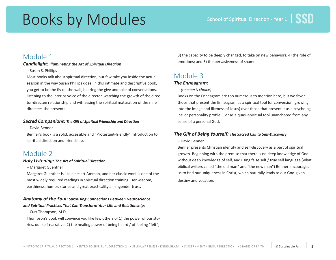# Books by Modules

## Module 1

### **Candlelight: Illuminating the Art of Spiritual Direction**

– Susan S. Phillips

Most books talk about spiritual direction, but few take you inside the actual session in the way Susan Phillips does. In this intimate and descriptive book, you get to be the fly on the wall, hearing the give and take of conversations, listening to the interior voice of the director, watching the growth of the director-directee relationship and witnessing the spiritual maturation of the nine directees she presents.

### **Sacred Companions: The Gift of Spiritual Friendship and Direction**

– David Benner

Benner's book is a solid, accessible and "Protestant-friendly" introduction to spiritual direction and friendship.

# Module 2

### **Holy Listening: The Art of Spiritual Direction**

– Margaret Guenther

Margaret Guenther is like a desert Ammah, and her classic work is one of the most widely required readings in spiritual direction training. Her wisdom, earthiness, humor, stories and great practicality all engender trust.

### **Anatomy of the Soul: Surprising Connections Between Neuroscience and Spiritual Practices That Can Transform Your Life and Relationships**

– Curt Thompson, M.D.

Thompson's book will convince you like few others of 1) the power of our stories, our self-narrative; 2) the healing power of being heard / of feeling "felt";

3) the capacity to be deeply changed, to take on new behaviors; 4) the role of emotions; and 5) the pervasiveness of shame.

## Module 3

### **The Enneagram:**

– (teacher's choice)

Books on the Enneagram are too numerous to mention here, but we favor those that present the Enneagram as a spiritual tool for conversion (growing into the image and likeness of Jesus) over those that present it as a psychological or personality profile … or as a quasi-spiritual tool unanchored from any sense of a personal God.

### **The Gift of Being Yourself: The Sacred Call to Self-Discovery**

### – David Benner

Benner presents Christian identity and self-discovery as a part of spiritual growth. Beginning with the premise that there is no deep knowledge of God without deep knowledge of self, and using false self / true self language (what biblical writers called "the old man" and "the new man") Benner encourages us to find our uniqueness in Christ, which naturally leads to our God-given destiny and vocation.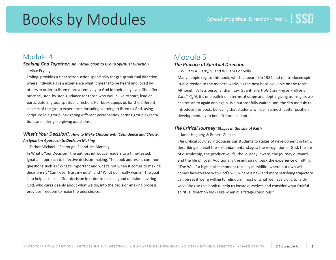# Books by Modules

## Module 4

### **Seeking God Together: An Introduction to Group Spiritual Direction**

– Alice Fryling

Fryling provides a clear introduction specifically for group spiritual direction, where individuals can experience what it means to be heard and loved by others in order to listen more attentively to God in their daily lives. She offers practical, step-by-step guidance for those who would like to start, lead or participate in group spiritual direction. Her book equips us for the different aspects of the group experience, including learning to listen to God, using Scripture in a group, navigating different personalities, setting group expectations and asking life-giving questions.

### **What's Your Decision?: How to Make Choices with Confidence and Clarity: An Ignatian Approach to Decision Making**

– Father Michael J. Sparough, SJ and Jim Manney

In What's Your Decision? the authors introduce readers to a time-tested, Ignatian approach to effective decision-making. The book addresses common questions such as "What's important and what's not when it comes to making decisions?", "Can I ever trust my gut?" and "What do I really want?" The goal is to help us make a God-decision in order to make a good decision. Inviting God, who cares deeply about what we do, into the decision-making process, provides freedom to make the best choice.

# Module 5

### **The Practice of Spiritual Direction**

– William A. Barry, SJ and William Connolly

Many people regard this book, which appeared in 1982 and reintroduced spiritual direction to the modern world, as the best book available on the topic. Although it's less personal than, say, Guenther's Holy Listening or Phillips's Candlelight, it's unparalleled in terms of scope and depth, giving us insights we can return to again and again. We purposefully waited until the 5th module to introduce this book, believing that students will be in a much better position developmentally to benefit from its depth.

### **The Critical Journey: Stages in the Life of Faith**

– Janet Hagberg & Robert Guelich

The Critical Journey introduces our students to stages of development in faith, describing in detail the six fundamental stages: the recognition of God, the life of discipleship, the productive life, the journey inward, the journey outward, and the life of love. Additionally the authors unpack the experience of hitting "The Wall," a high-stakes moment (usually in midlife) where our own will comes face-to-face with God's will, where a new and more satisfying trajectory can be set if we're willing to relinquish most of what we have clung to faithwise. We use this book to help us locate ourselves and consider what fruitful spiritual direction looks like when it is "stage conscious."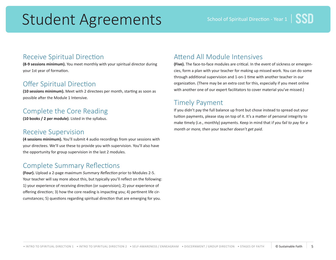# Student Agreements

## Receive Spiritual Direction

**(8-9 sessions minimum).** You meet monthly with your spiritual director during your 1st year of formation.

# Offer Spiritual Direction

**(10 sessions minimum).** Meet with 2 directees per month, starting as soon as possible after the Module 1 Intensive.

# Complete the Core Reading

**(10 books / 2 per module).** Listed in the syllabus.

## Receive Supervision

**(4 sessions minimum).** You'll submit 4 audio recordings from your sessions with your directees. We'll use these to provide you with supervision. You'll also have the opportunity for group supervision in the last 2 modules.

# Complete Summary Reflections

**(Four).** Upload a 2-page maximum Summary Reflection prior to Modules 2-5. Your teacher will say more about this, but typically you'll reflect on the following: 1) your experience of receiving direction (or supervision); 2) your experience of offering direction; 3) how the core reading is impacting you; 4) pertinent life circumstances; 5) questions regarding spiritual direction that are emerging for you.

# Attend All Module Intensives

**(Five).** The face-to-face modules are critical. In the event of sickness or emergencies, form a plan with your teacher for making up missed work. You can do some through additional supervision and 1-on-1 time with another teacher in our organization. (There may be an extra cost for this, especially if you meet online with another one of our expert facilitators to cover material you've missed.)

# Timely Payment

If you didn't pay the full balance up front but chose instead to spread out your tuition payments, please stay on top of it. It's a matter of personal integrity to make timely (i.e., monthly) payments. Keep in mind that if you fail to pay for a month or more, then your teacher doesn't get paid.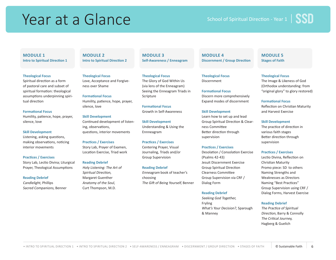# Year at a Glance

### **MODULE 1 Intro to Spiritual Direction 1**

#### **Theological Focus**

Spiritual direction as a form of pastoral care and subset of spiritual formation: theological assumptions underpinning spiritual direction

#### **Formational Focus**

Humility, patience, hope, prayer, silence, love

#### **Skill Development**

Listening, asking questions, making observations, noticing interior movements

#### **Practices / Exercises**

Story Lab, Lectio Divina; Liturgical Prayer, Theological Assumptions

#### **Reading Debrief**

Candlelight, Phillips Sacred Companions, Benner **MODULE 2 Intro to Spiritual Direction 2**

### **Theological Focus** Love, Acceptance and Forgiveness over Shame

**Formational Focus**  Humility, patience, hope, prayer, silence, love

### **Skill Development**

Continued development of listening, observations, questions, interior movements

#### **Practices / Exercises**

Story Lab, Prayer of Examen, Location Exercise, Triad work

### **Reading Debrief**

Holy Listening: The Art of Spiritual Direction, Margaret Guenther Anatomy of the Soul, Curt Thompson, M.D.

**MODULE 3 Self-Awareness / Enneagram**

**Theological Focus** The Glory of God Within Us (via lens of the Enneagram) Seeing the Enneagram Triads in Scripture

### **Formational Focus**  Growth in Self-Awareness

**Skill Development**  Understanding & Using the Ennneagram

### **Practices / Exercises** Centering Prayer, Visual Journaling, Triads and/or Group Supervision

**Reading Debrief** Enneagram book of teacher's choosing The Gift of Being Yourself, Benner

### **MODULE 4 Discernment / Group Direction**

**Theological Focus** Discernment

**Formational Focus**  Discern more comprehensively Expand modes of discernment

### **Skill Development**

Learn how to set up and lead Group Spiritual Direction & Clearness Committee Better direction through supervision

### **Practices / Exercises**

Desolation / Consolation Exercise (Psalms 42-43) Jesuit Discernment Exercise Group Spiritual Direction Clearness Committee Group Supervision via CRF / Dialog Form

### **Reading Debrief**

Seeking God Together, Fryling
 What's Your Decision?, Sparough & Manney

### **MODULE 5 Stages of Faith**

### **Theological Focus**

The Image & Likeness of God (Orthodox understanding: from "original glory" to glory restored)

### **Formational Focus**

Reflection on Christian Maturity and Harvest Exercise

### **Skill Development**

The practice of direction in various faith stages
 Better direction through supervision

### **Practices / Exercises**

Lectio Divina, Reflection on Christian Maturity
 Promo piece: SD to others
 Naming Strengths and Weaknesses as Directors
 Naming "Best Practices" Group Supervision using CRF / Dialog Forms, Harvest Exercise

### **Reading Debrief**

The Practice of Spiritual Direction, Barry & Connolly
 The Critical Journey, Hagberg & Guelich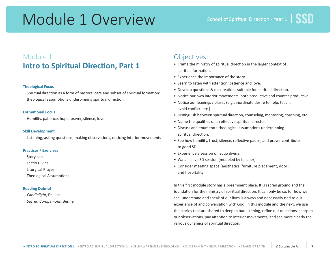# Module 1 Overview

# Module 1 **Intro to Spiritual Direction, Part 1**

### **Theological Focus**

Spiritual direction as a form of pastoral care and subset of spiritual formation: theological assumptions underpinning spiritual direction

### **Formational Focus**

Humility, patience, hope, prayer, silence, love

### **Skill Development**

Listening, asking questions, making observations, noticing interior movements

### **Practices / Exercises**

Story Lab

Lectio Divina

Liturgical Prayer

Theological Assumptions

### **Reading Debrief**

Candlelight, Phillips Sacred Companions, Benner

### Objectives:

- Frame the ministry of spiritual direction in the larger context of spiritual formation.
- Experience the importance of the story.
- Learn to listen with attention, patience and love.
- Develop questions & observations suitable for spiritual direction.
- Notice our own interior movements, both productive and counter-productive.
- Notice our leanings / biases (e.g., inordinate desire to help, teach, avoid conflict, etc.).
- Distinguish between spiritual direction, counseling, mentoring, coaching, etc.
- Name the qualities of an effective spiritual director.
- Discuss and enumerate theological assumptions underpinning spiritual direction.
- See how humility, trust, silence, reflective pause, and prayer contribute to good SD.
- Experience a session of lectio divina.
- Watch a live SD session (modeled by teacher).
- Consider meeting space (aesthetics, furniture placement, door) and hospitality.

In this first module story has a preeminent place. It is sacred ground and the foundation for the ministry of spiritual direction. It can only be so, for how we see, understand and speak of our lives is always and necessarily tied to our experience of and conversation with God. In this module and the next, we use the stories that are shared to deepen our listening, refine our questions, sharpen our observations, pay attention to interior movements, and see more clearly the various dynamics of spiritual direction.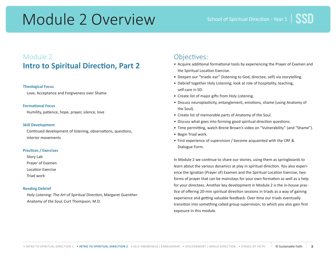# Module 2 Overview

# Module 2 **Intro to Spiritual Direction, Part 2**

### **Theological Focus**

Love, Acceptance and Forgiveness over Shame

### **Formational Focus**

Humility, patience, hope, prayer, silence, love

### **Skill Development**

Continued development of listening, observations, questions, interior movements

### **Practices / Exercises**

Story Lab

Prayer of Examen

Location Exercise

Triad work

### **Reading Debrief**

Holy Listening: The Art of Spiritual Direction, Margaret Guenther
 Anatomy of the Soul, Curt Thompson, M.D.

## Objectives:

- Acquire additional formational tools by experiencing the Prayer of Examen and the Spiritual Location Exercise.
- Deepen our "triadic ear" (listening to God, directee, self) via storytelling.
- Debrief together Holy Listening; look at role of hospitality, teaching, self-care in SD.
- Create list of major gifts from Holy Listening.
- Discuss neuroplasticity, entanglement, emotions, shame (using Anatomy of the Soul).
- Create list of memorable parts of Anatomy of the Soul.
- Discuss what goes into forming good spiritual direction questions.
- Time permitting, watch Brené Brown's video on "Vulnerability" (and "Shame").
- Begin Triad work.
- First experience of supervision / become acquainted with the CRF & Dialogue Form.

In Module 2 we continue to share our stories, using them as springboards to learn about the various dynamics at play in spiritual direction. You also experience the Ignatian (Prayer of) Examen and the Spiritual Location Exercise, two forms of prayer that can be mainstays for your own formation as well as a help for your directees. Another key development in Module 2 is the in-house practice of offering 20-min spiritual direction sessions in triads as a way of gaining experience and getting valuable feedback. Over time our triads eventually transition into something called group supervision, to which you also gain first exposure in this module.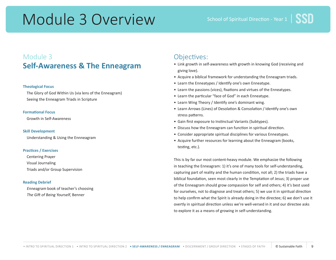# Module 3 Overview

# Module 3 **Self-Awareness & The Enneagram**

### **Theological Focus**

The Glory of God Within Us (via lens of the Enneagram)
 Seeing the Enneagram Triads in Scripture

### **Formational Focus**

Growth in Self-Awareness

### **Skill Development**

Understanding & Using the Ennneagram

### **Practices / Exercises**

Centering Prayer Visual Journaling Triads and/or Group Supervision

### **Reading Debrief**

Enneagram book of teacher's choosing
 The Gift of Being Yourself, Benner

### Objectives:

- Link growth in self-awareness with growth in knowing God (receiving and giving love).
- Acquire a biblical framework for understanding the Enneagram triads.
- Learn the Enneatypes / Identify one's own Enneatype.
- Learn the passions (vices), fixations and virtues of the Enneatypes.
- Learn the particular "face of God" in each Enneatype.
- Learn Wing Theory / Identify one's dominant wing.
- Learn Arrows (Lines) of Desolation & Consolation / Identify one's own stress patterns.
- Gain first exposure to Instinctual Variants (Subtypes).
- Discuss how the Enneagram can function in spiritual direction.
- Consider appropriate spiritual disciplines for various Enneatypes.
- Acquire further resources for learning about the Enneagram (books, testing, etc.).

This is by far our most content-heavy module. We emphasize the following in teaching the Enneagram: 1) it's one of many tools for self-understanding, capturing part of reality and the human condition, not all; 2) the triads have a biblical foundation, seen most clearly in the Temptation of Jesus; 3) proper use of the Enneagram should grow compassion for self and others; 4) it's best used for ourselves, not to diagnose and treat others; 5) we use it in spiritual direction to help confirm what the Spirit is already doing in the directee; 6) we don't use it overtly in spiritual direction unless we're well-versed in it and our directee asks to explore it as a means of growing in self-understanding.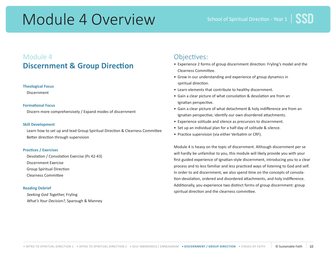# Module 4 Overview

# Module 4 **Discernment & Group Direction**

### **Theological Focus**

Discernment

### **Formational Focus**

Discern more comprehensively / Expand modes of discernment

### **Skill Development**

Learn how to set up and lead Group Spiritual Direction & Clearness Committee Better direction through supervision

### **Practices / Exercises**

Desolation / Consolation Exercise (Ps 42-43) Discernment Exercise
 Group Spiritual Direction
 Clearness Committee

### **Reading Debrief**

Seeking God Together, Fryling What's Your Decision?, Sparough & Manney

### Objectives:

- Experience 2 forms of group discernment direction: Fryling's model and the Clearness Committee.
- Grow in our understanding and experience of group dynamics in spiritual direction.
- Learn elements that contribute to healthy discernment.
- Gain a clear picture of what consolation & desolation are from an Ignatian perspective.
- Gain a clear picture of what detachment & holy indifference are from an Ignatian perspective; identify our own disordered attachments.
- Experience solitude and silence as precursors to discernment.
- Set up an individual plan for a half-day of solitude & silence.
- Practice supervision (via either Verbatim or CRF).

Module 4 is heavy on the topic of discernment. Although discernment per se will hardly be unfamiliar to you, this module will likely provide you with your first guided experience of Ignatian-style discernment, introducing you to a clear process and to less familiar and less practiced ways of listening to God and self. In order to aid discernment, we also spend time on the concepts of consolation-desolation, ordered and disordered attachments, and holy indifference. Additionally, you experience two distinct forms of group discernment: group spiritual direction and the clearness committee.